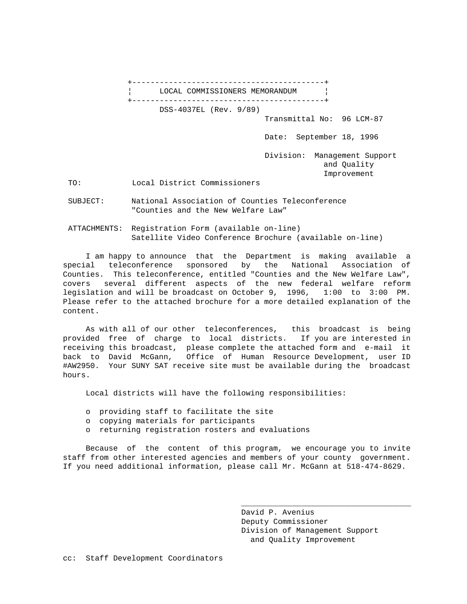+------------------------------------------+ LOCAL COMMISSIONERS MEMORANDUM | +------------------------------------------+ DSS-4037EL (Rev. 9/89) Transmittal No: 96 LCM-87 Date: September 18, 1996 Division: Management Support and Quality Improvement

TO: Local District Commissioners

 SUBJECT: National Association of Counties Teleconference "Counties and the New Welfare Law"

 ATTACHMENTS: Registration Form (available on-line) Satellite Video Conference Brochure (available on-line)

 I am happy to announce that the Department is making available a special teleconference sponsored by the National Association of Counties. This teleconference, entitled "Counties and the New Welfare Law", covers several different aspects of the new federal welfare reform legislation and will be broadcast on October 9, 1996, 1:00 to 3:00 PM. Please refer to the attached brochure for a more detailed explanation of the content.

 As with all of our other teleconferences, this broadcast is being provided free of charge to local districts. If you are interested in receiving this broadcast, please complete the attached form and e-mail it back to David McGann, Office of Human Resource Development, user ID #AW2950. Your SUNY SAT receive site must be available during the broadcast hours.

Local districts will have the following responsibilities:

- o providing staff to facilitate the site
- o copying materials for participants
- o returning registration rosters and evaluations

 Because of the content of this program, we encourage you to invite staff from other interested agencies and members of your county government. If you need additional information, please call Mr. McGann at 518-474-8629.

 $\mathcal{L}_\mathcal{L}$  , which is a set of the set of the set of the set of the set of the set of the set of the set of the set of the set of the set of the set of the set of the set of the set of the set of the set of the set of

 David P. Avenius Deputy Commissioner Division of Management Support and Quality Improvement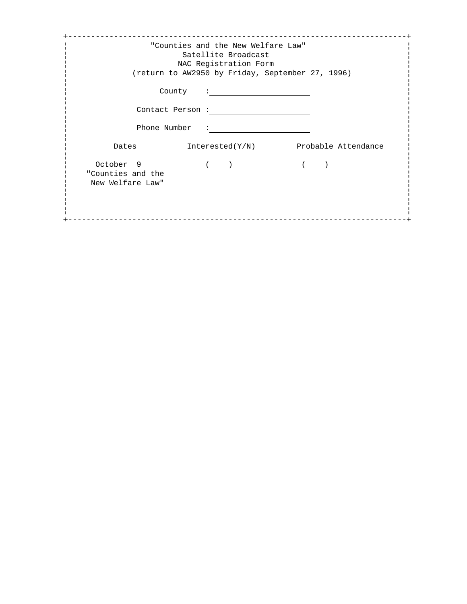|                                                    |                           | "Counties and the New Welfare Law"<br>Satellite Broadcast<br>NAC Registration Form<br>(return to AW2950 by Friday, September 27, 1996) |                     |
|----------------------------------------------------|---------------------------|----------------------------------------------------------------------------------------------------------------------------------------|---------------------|
|                                                    | County<br>Contact Person: |                                                                                                                                        |                     |
|                                                    | Phone Number<br>Dates     | Interested(Y/N)                                                                                                                        | Probable Attendance |
| October 9<br>"Counties and the<br>New Welfare Law" |                           |                                                                                                                                        |                     |